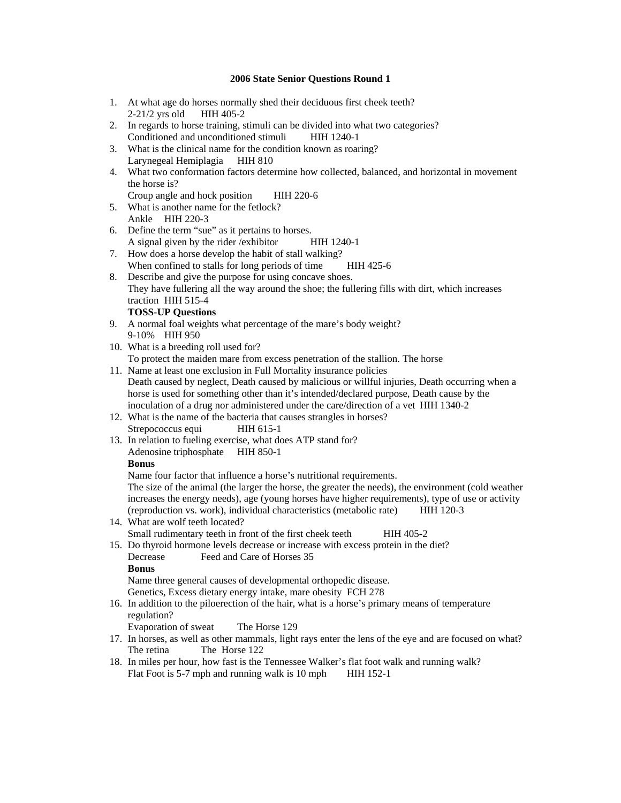#### **2006 State Senior Questions Round 1**

- 1. At what age do horses normally shed their deciduous first cheek teeth?<br>2-21/2 yrs old HIH 405-2  $2-21/2$  yrs old
- 2. In regards to horse training, stimuli can be divided into what two categories? Conditioned and unconditioned stimuli HIH 1240-1
- 3. What is the clinical name for the condition known as roaring? Larynegeal Hemiplagia HIH 810
- 4. What two conformation factors determine how collected, balanced, and horizontal in movement the horse is?

Croup angle and hock position HIH 220-6

- 5. What is another name for the fetlock? Ankle HIH 220-3
- 6. Define the term "sue" as it pertains to horses. A signal given by the rider /exhibitor HIH 1240-1
- 7. How does a horse develop the habit of stall walking? When confined to stalls for long periods of time HIH 425-6
- 8. Describe and give the purpose for using concave shoes. They have fullering all the way around the shoe; the fullering fills with dirt, which increases traction HIH 515-4

# **TOSS-UP Questions**

- 9. A normal foal weights what percentage of the mare's body weight? 9-10% HIH 950
- 10. What is a breeding roll used for? To protect the maiden mare from excess penetration of the stallion. The horse
- 11. Name at least one exclusion in Full Mortality insurance policies Death caused by neglect, Death caused by malicious or willful injuries, Death occurring when a horse is used for something other than it's intended/declared purpose, Death cause by the inoculation of a drug nor administered under the care/direction of a vet HIH 1340-2
- 12. What is the name of the bacteria that causes strangles in horses? Strepococcus equi HIH 615-1
- 13. In relation to fueling exercise, what does ATP stand for? Adenosine triphosphate HIH 850-1

#### **Bonus**

Name four factor that influence a horse's nutritional requirements.

The size of the animal (the larger the horse, the greater the needs), the environment (cold weather increases the energy needs), age (young horses have higher requirements), type of use or activity (reproduction vs. work), individual characteristics (metabolic rate) HIH 120-3

- 14. What are wolf teeth located? Small rudimentary teeth in front of the first cheek teeth HIH 405-2
- 15. Do thyroid hormone levels decrease or increase with excess protein in the diet? Decrease Feed and Care of Horses 35 **Bonus**

Name three general causes of developmental orthopedic disease.

Genetics, Excess dietary energy intake, mare obesity FCH 278

16. In addition to the piloerection of the hair, what is a horse's primary means of temperature regulation?

Evaporation of sweat The Horse 129

- 17. In horses, as well as other mammals, light rays enter the lens of the eye and are focused on what? The retina The Horse 122
- 18. In miles per hour, how fast is the Tennessee Walker's flat foot walk and running walk? Flat Foot is 5-7 mph and running walk is 10 mph HIH 152-1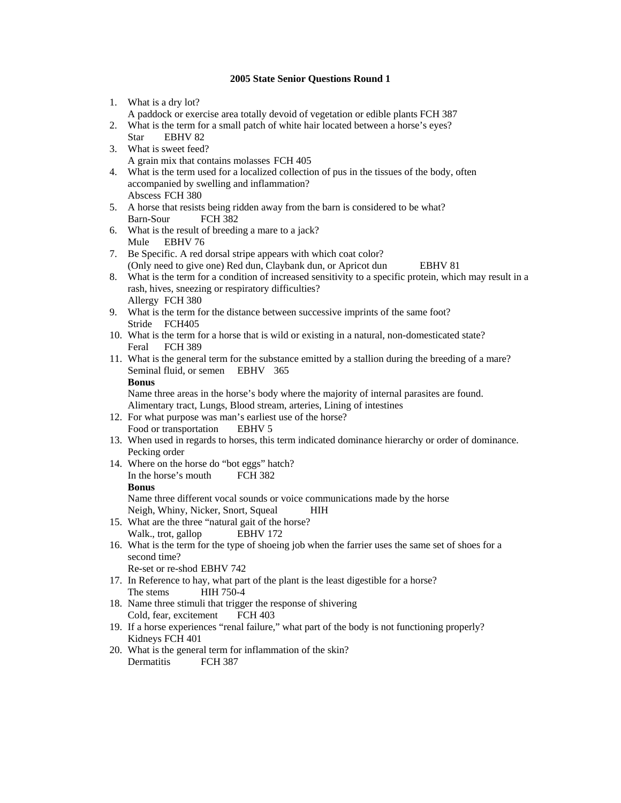## **2005 State Senior Questions Round 1**

- 1. What is a dry lot?
- A paddock or exercise area totally devoid of vegetation or edible plants FCH 387
- 2. What is the term for a small patch of white hair located between a horse's eyes? Star EBHV 82
- 3. What is sweet feed? A grain mix that contains molasses FCH 405
- 4. What is the term used for a localized collection of pus in the tissues of the body, often accompanied by swelling and inflammation? Abscess FCH 380
- 5. A horse that resists being ridden away from the barn is considered to be what? Barn-Sour FCH 382
- 6. What is the result of breeding a mare to a jack? Mule EBHV 76
- 7. Be Specific. A red dorsal stripe appears with which coat color? (Only need to give one) Red dun, Claybank dun, or Apricot dun EBHV 81
- 8. What is the term for a condition of increased sensitivity to a specific protein, which may result in a rash, hives, sneezing or respiratory difficulties? Allergy FCH 380
- 9. What is the term for the distance between successive imprints of the same foot? Stride FCH405
- 10. What is the term for a horse that is wild or existing in a natural, non-domesticated state? Feral FCH 389
- 11. What is the general term for the substance emitted by a stallion during the breeding of a mare? Seminal fluid, or semen EBHV 365
	- **Bonus**

Name three areas in the horse's body where the majority of internal parasites are found. Alimentary tract, Lungs, Blood stream, arteries, Lining of intestines

- 12. For what purpose was man's earliest use of the horse? Food or transportation EBHV 5
- 13. When used in regards to horses, this term indicated dominance hierarchy or order of dominance. Pecking order
- 14. Where on the horse do "bot eggs" hatch? In the horse's mouth FCH 382 **Bonus** Name three different vocal sounds or voice communications made by the horse

Neigh, Whiny, Nicker, Snort, Squeal HIH

- 15. What are the three "natural gait of the horse? Walk., trot, gallop EBHV 172
- 16. What is the term for the type of shoeing job when the farrier uses the same set of shoes for a second time?
	- Re-set or re-shod EBHV 742
- 17. In Reference to hay, what part of the plant is the least digestible for a horse? The stems HIH 750-4
- 18. Name three stimuli that trigger the response of shivering Cold, fear, excitement FCH 403
- 19. If a horse experiences "renal failure," what part of the body is not functioning properly? Kidneys FCH 401
- 20. What is the general term for inflammation of the skin? Dermatitis FCH 387